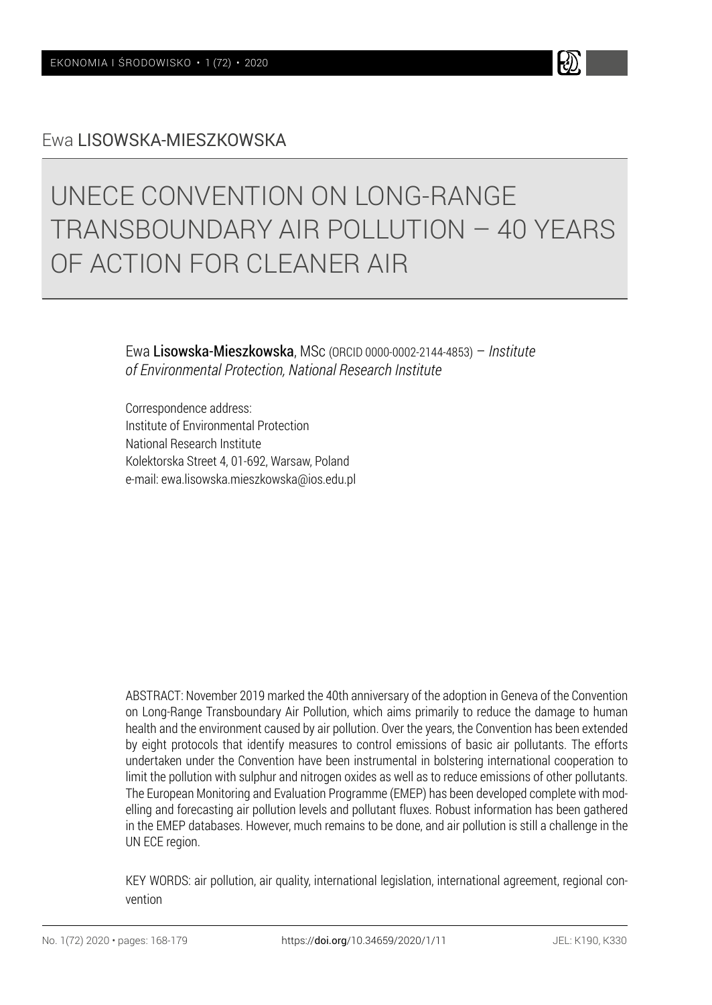### Ewa LISOWSKA-MIESZKOWSKA

# UNECE CONVENTION ON LONG-RANGE TRANSBOUNDARY AIR POLLUTION – 40 YEARS OF ACTION FOR CLEANER AIR

Ewa Lisowska-Mieszkowska, MSc (ORCID 0000-0002-2144-4853) – *Institute of Environmental Protection, National Research Institute*

Correspondence address: Institute of Environmental Protection National Research Institute Kolektorska Street 4, 01-692, Warsaw, Poland e-mail: ewa.lisowska.mieszkowska@ios.edu.pl

ABSTRACT: November 2019 marked the 40th anniversary of the adoption in Geneva of the Convention on Long-Range Transboundary Air Pollution, which aims primarily to reduce the damage to human health and the environment caused by air pollution. Over the years, the Convention has been extended by eight protocols that identify measures to control emissions of basic air pollutants. The efforts undertaken under the Convention have been instrumental in bolstering international cooperation to limit the pollution with sulphur and nitrogen oxides as well as to reduce emissions of other pollutants. The European Monitoring and Evaluation Programme (EMEP) has been developed complete with modelling and forecasting air pollution levels and pollutant fluxes. Robust information has been gathered in the EMEP databases. However, much remains to be done, and air pollution is still a challenge in the UN ECE region.

KEY WORDS: air pollution, air quality, international legislation, international agreement, regional convention

H)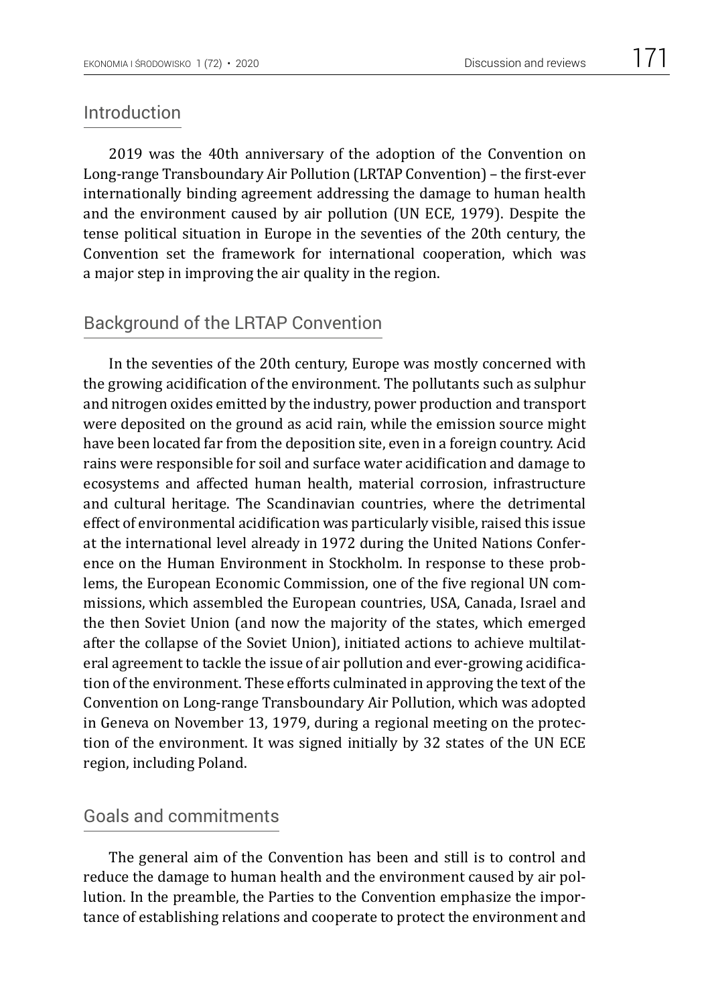#### Introduction

2019 was the 40th anniversary of the adoption of the Convention on Long-range Transboundary Air Pollution (LRTAP Convention) – the first-ever internationally binding agreement addressing the damage to human health and the environment caused by air pollution (UN ECE, 1979). Despite the tense political situation in Europe in the seventies of the 20th century, the Convention set the framework for international cooperation, which was a major step in improving the air quality in the region.

## Background of the LRTAP Convention

In the seventies of the 20th century, Europe was mostly concerned with the growing acidification of the environment. The pollutants such as sulphur and nitrogen oxides emitted by the industry, power production and transport were deposited on the ground as acid rain, while the emission source might have been located far from the deposition site, even in a foreign country. Acid rains were responsible for soil and surface water acidification and damage to ecosystems and affected human health, material corrosion, infrastructure and cultural heritage. The Scandinavian countries, where the detrimental effect of environmental acidification was particularly visible, raised this issue at the international level already in 1972 during the United Nations Conference on the Human Environment in Stockholm. In response to these problems, the European Economic Commission, one of the five regional UN commissions, which assembled the European countries, USA, Canada, Israel and the then Soviet Union (and now the majority of the states, which emerged after the collapse of the Soviet Union), initiated actions to achieve multilateral agreement to tackle the issue of air pollution and ever-growing acidification of the environment. These efforts culminated in approving the text of the Convention on Long-range Transboundary Air Pollution, which was adopted in Geneva on November 13, 1979, during a regional meeting on the protection of the environment. It was signed initially by 32 states of the UN ECE region, including Poland.

# Goals and commitments

The general aim of the Convention has been and still is to control and reduce the damage to human health and the environment caused by air pollution. In the preamble, the Parties to the Convention emphasize the importance of establishing relations and cooperate to protect the environment and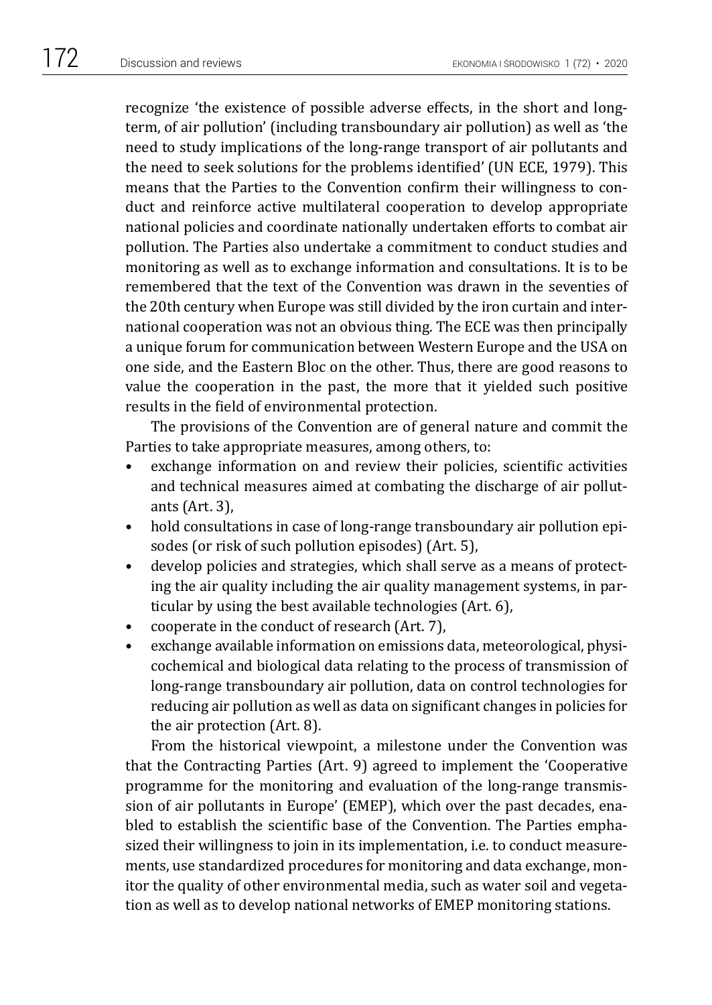recognize 'the existence of possible adverse effects, in the short and longterm, of air pollution' (including transboundary air pollution) as well as 'the need to study implications of the long-range transport of air pollutants and the need to seek solutions for the problems identified' (UN ECE, 1979). This means that the Parties to the Convention confirm their willingness to conduct and reinforce active multilateral cooperation to develop appropriate national policies and coordinate nationally undertaken efforts to combat air pollution. The Parties also undertake a commitment to conduct studies and monitoring as well as to exchange information and consultations. It is to be remembered that the text of the Convention was drawn in the seventies of the 20th century when Europe was still divided by the iron curtain and international cooperation was not an obvious thing. The ECE was then principally a unique forum for communication between Western Europe and the USA on one side, and the Eastern Bloc on the other. Thus, there are good reasons to value the cooperation in the past, the more that it yielded such positive results in the field of environmental protection.

The provisions of the Convention are of general nature and commit the Parties to take appropriate measures, among others, to:

- exchange information on and review their policies, scientific activities and technical measures aimed at combating the discharge of air pollutants (Art. 3),
- hold consultations in case of long-range transboundary air pollution episodes (or risk of such pollution episodes) (Art. 5),
- develop policies and strategies, which shall serve as a means of protecting the air quality including the air quality management systems, in particular by using the best available technologies (Art. 6),
- cooperate in the conduct of research (Art. 7),
- exchange available information on emissions data, meteorological, physicochemical and biological data relating to the process of transmission of long-range transboundary air pollution, data on control technologies for reducing air pollution as well as data on significant changes in policies for the air protection (Art. 8).

From the historical viewpoint, a milestone under the Convention was that the Contracting Parties (Art. 9) agreed to implement the 'Cooperative programme for the monitoring and evaluation of the long-range transmission of air pollutants in Europe' (EMEP), which over the past decades, enabled to establish the scientific base of the Convention. The Parties emphasized their willingness to join in its implementation, i.e. to conduct measurements, use standardized procedures for monitoring and data exchange, monitor the quality of other environmental media, such as water soil and vegetation as well as to develop national networks of EMEP monitoring stations.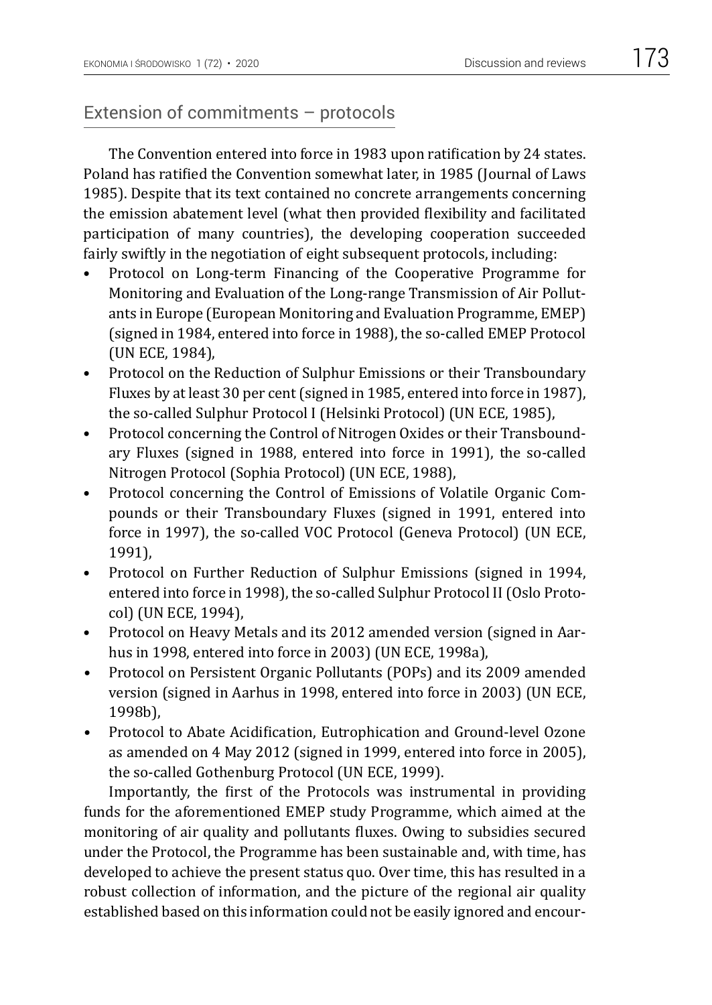## Extension of commitments – protocols

The Convention entered into force in 1983 upon ratification by 24 states. Poland has ratified the Convention somewhat later, in 1985 (Journal of Laws 1985). Despite that its text contained no concrete arrangements concerning the emission abatement level (what then provided flexibility and facilitated participation of many countries), the developing cooperation succeeded fairly swiftly in the negotiation of eight subsequent protocols, including:

- [Protocol on Long-term Financing of the Cooperative Programme for](https://www.unece.org/env/lrtap/emep_h1.html)  Monitoring and Evaluation [of the Long-range Transmission of Air Pollut](https://www.unece.org/env/lrtap/emep_h1.html)[ants in Europe](https://www.unece.org/env/lrtap/emep_h1.html) (European Monitoring and Evaluation Programme, EMEP) (signed in 1984, entered into force in 1988), the so-called EMEP Protocol (UN ECE, 1984),
- [Protocol on the Reduction of Sulphur Emissions](https://www.unece.org/env/lrtap/sulf_h1.html) or their Transboundary [Fluxes by at least 30 per cent\(](https://www.unece.org/env/lrtap/sulf_h1.html)signed in 1985, entered into force in 1987), the so-called Sulphur Protocol I (Helsinki Protocol) (UN ECE, 1985),
- [Protocol concerning the Control of Nitrogen Oxides](https://www.unece.org/env/lrtap/nitr_h1.html) or their Transbound[ary Fluxes](https://www.unece.org/env/lrtap/nitr_h1.html) (signed in 1988, entered into force in 1991), the so-called Nitrogen Protocol (Sophia Protocol) (UN ECE, 1988),
- [Protocol concerning the Control of Emissions of Volatile Organic Com](https://www.unece.org/env/lrtap/vola_h1.html)pounds [or their Transboundary Fluxes](https://www.unece.org/env/lrtap/vola_h1.html) (signed in 1991, entered into force in 1997), the so-called VOC Protocol (Geneva Protocol) (UN ECE, 1991),
- [Protocol on Further Reduction of Sulphur Emissions](https://www.unece.org/env/lrtap/fsulf_h1.html) (signed in 1994, entered into force in 1998), the so-called Sulphur Protocol II (Oslo Protocol) (UN ECE, 1994),
- [Protocol on Heavy Metals](https://www.unece.org/env/lrtap/hm_h1.html) and its 2012 amended version (signed in Aarhus in 1998, entered into force in 2003) (UN ECE, 1998a),
- [Protocol on Persistent Organic Pollutants \(POPs\)](https://www.unece.org/env/lrtap/pops_h1.html) and its 2009 amended [version](https://www.unece.org/env/lrtap/pops_h1.html) (signed in Aarhus in 1998, entered into force in 2003) (UN ECE, 1998b),
- [Protocol to Abate Acidification, Eutrophication and Ground-level Ozone](https://www.unece.org/env/lrtap/pops_h1.html)  as amended on 4 May 2012 (signed in 1999, entered into force in 2005), the so-called Gothenburg Protocol (UN ECE, 1999).

Importantly, the first of the Protocols was instrumental in providing funds for the aforementioned EMEP study Programme, which aimed at the monitoring of air quality and pollutants fluxes. Owing to subsidies secured under the Protocol, the Programme has been sustainable and, with time, has developed to achieve the present status quo. Over time, this has resulted in a robust collection of information, and the picture of the regional air quality established based on this information could not be easily ignored and encour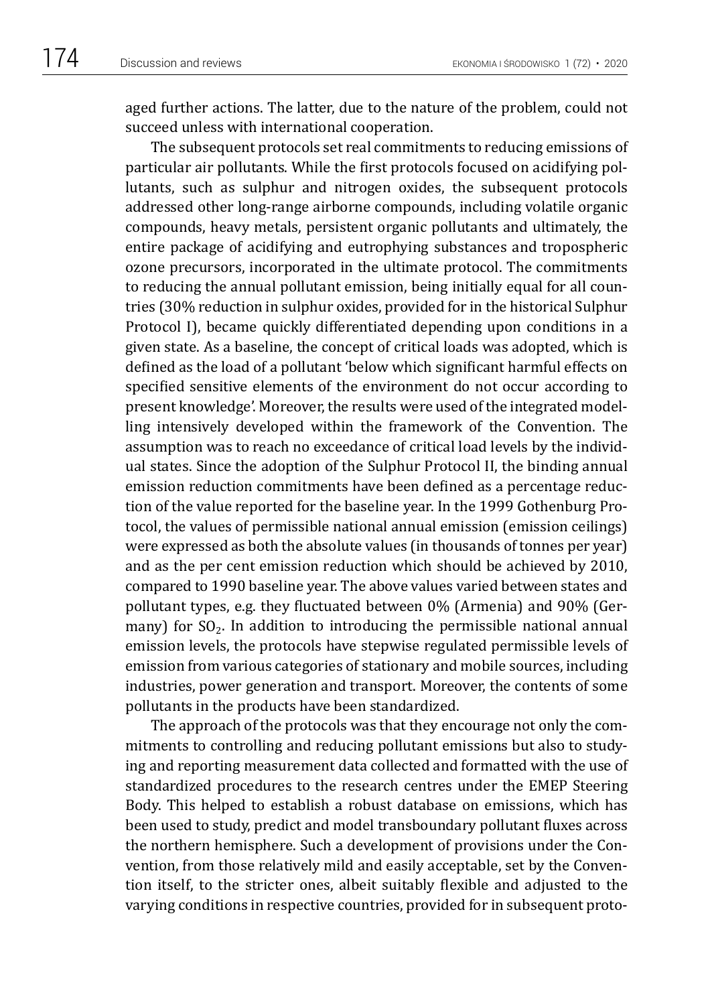aged further actions. The latter, due to the nature of the problem, could not succeed unless with international cooperation.

The subsequent protocols set real commitments to reducing emissions of particular air pollutants. While the first protocols focused on acidifying pollutants, such as sulphur and nitrogen oxides, the subsequent protocols addressed other long-range airborne compounds, including volatile organic compounds, heavy metals, persistent organic pollutants and ultimately, the entire package of acidifying and eutrophying substances and tropospheric ozone precursors, incorporated in the ultimate protocol. The commitments to reducing the annual pollutant emission, being initially equal for all countries (30% reduction in sulphur oxides, provided for in the historical Sulphur Protocol I), became quickly differentiated depending upon conditions in a given state. As a baseline, the concept of critical loads was adopted, which is defined as the load of a pollutant 'below which significant harmful effects on specified sensitive elements of the environment do not occur according to present knowledge'. Moreover, the results were used of the integrated modelling intensively developed within the framework of the Convention. The assumption was to reach no exceedance of critical load levels by the individual states. Since the adoption of the Sulphur Protocol II, the binding annual emission reduction commitments have been defined as a percentage reduction of the value reported for the baseline year. In the 1999 Gothenburg Protocol, the values of permissible national annual emission (emission ceilings) were expressed as both the absolute values (in thousands of tonnes per year) and as the per cent emission reduction which should be achieved by 2010, compared to 1990 baseline year. The above values varied between states and pollutant types, e.g. they fluctuated between 0% (Armenia) and 90% (Germany) for  $SO_2$ . In addition to introducing the permissible national annual emission levels, the protocols have stepwise regulated permissible levels of emission from various categories of stationary and mobile sources, including industries, power generation and transport. Moreover, the contents of some pollutants in the products have been standardized.

The approach of the protocols was that they encourage not only the commitments to controlling and reducing pollutant emissions but also to studying and reporting measurement data collected and formatted with the use of standardized procedures to the research centres under the EMEP Steering Body. This helped to establish a robust database on emissions, which has been used to study, predict and model transboundary pollutant fluxes across the northern hemisphere. Such a development of provisions under the Convention, from those relatively mild and easily acceptable, set by the Convention itself, to the stricter ones, albeit suitably flexible and adjusted to the varying conditions in respective countries, provided for in subsequent proto-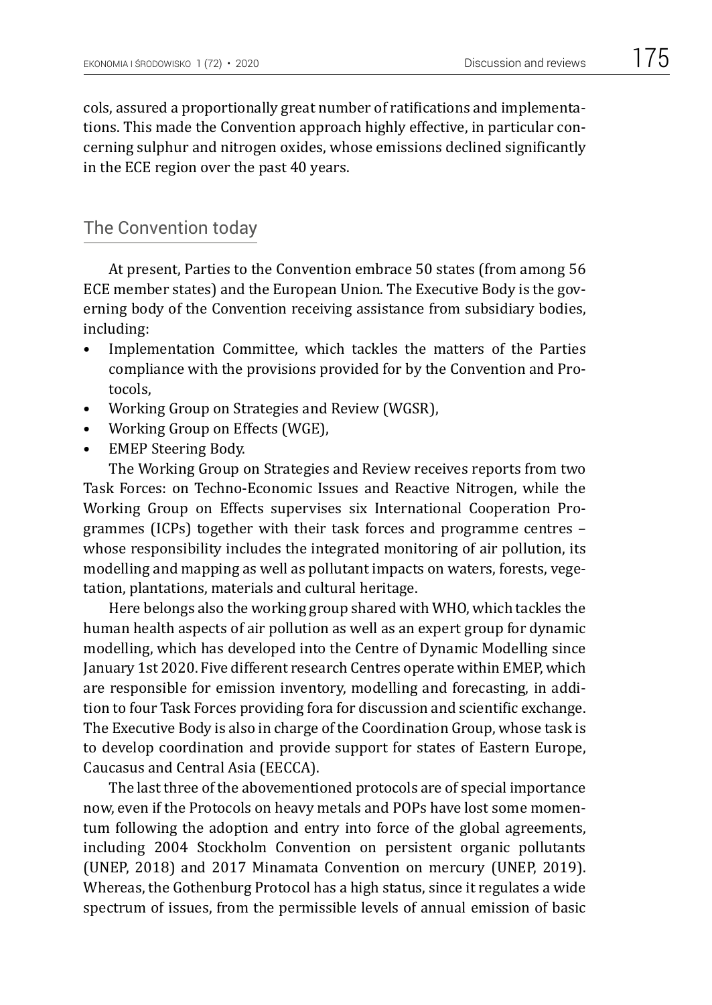cols, assured a proportionally great number of ratifications and implementations. This made the Convention approach highly effective, in particular concerning sulphur and nitrogen oxides, whose emissions declined significantly in the ECE region over the past 40 years.

# The Convention today

At present, Parties to the Convention embrace 50 states (from among 56 ECE member states) and the European Union. The Executive Body is the governing body of the Convention receiving assistance from subsidiary bodies, including:

- Implementation Committee, which tackles the matters of the Parties compliance with the provisions provided for by the Convention and Protocols,
- Working Group on Strategies and Review (WGSR),
- Working Group on Effects (WGE),
- EMEP Steering Body.

The Working Group on Strategies and Review receives reports from two Task Forces: on Techno-Economic Issues and Reactive Nitrogen, while the Working Group on Effects supervises six International Cooperation Programmes (ICPs) together with their task forces and programme centres – whose responsibility includes the integrated monitoring of air pollution, its modelling and mapping as well as pollutant impacts on waters, forests, vegetation, plantations, materials and cultural heritage.

Here belongs also the working group shared with WHO, which tackles the human health aspects of air pollution as well as an expert group for dynamic modelling, which has developed into the Centre of Dynamic Modelling since January 1st 2020. Five different research Centres operate within EMEP, which are responsible for emission inventory, modelling and forecasting, in addition to four Task Forces providing fora for discussion and scientific exchange. The Executive Body is also in charge of the Coordination Group, whose task is to develop coordination and provide support for states of Eastern Europe, Caucasus and Central Asia (EECCA).

The last three of the abovementioned protocols are of special importance now, even if the Protocols on heavy metals and POPs have lost some momentum following the adoption and entry into force of the global agreements, including 2004 Stockholm Convention on persistent organic pollutants (UNEP, 2018) and 2017 Minamata Convention on mercury (UNEP, 2019). Whereas, the Gothenburg Protocol has a high status, since it regulates a wide spectrum of issues, from the permissible levels of annual emission of basic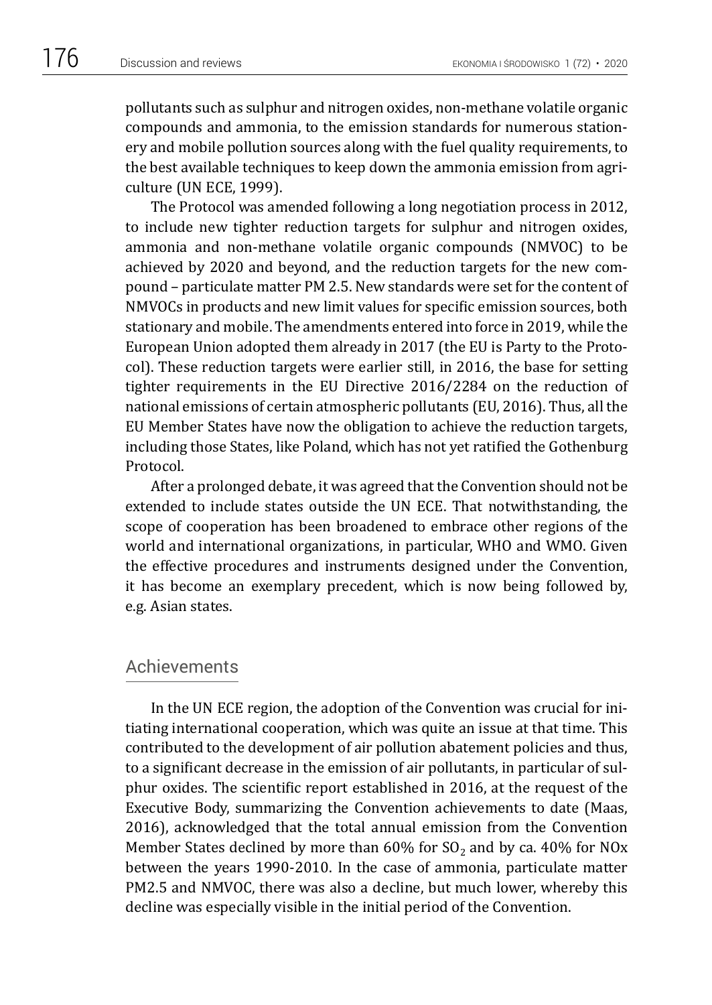pollutants such as sulphur and nitrogen oxides, non-methane volatile organic compounds and ammonia, to the emission standards for numerous stationery and mobile pollution sources along with the fuel quality requirements, to the best available techniques to keep down the ammonia emission from agriculture (UN ECE, 1999).

The Protocol was amended following a long negotiation process in 2012, to include new tighter reduction targets for sulphur and nitrogen oxides, ammonia and non-methane volatile organic compounds (NMVOC) to be achieved by 2020 and beyond, and the reduction targets for the new compound – particulate matter PM 2.5. New standards were set for the content of NMVOCs in products and new limit values for specific emission sources, both stationary and mobile. The amendments entered into force in 2019, while the European Union adopted them already in 2017 (the EU is Party to the Protocol). These reduction targets were earlier still, in 2016, the base for setting tighter requirements in the EU Directive 2016/2284 on the reduction of national emissions of certain atmospheric pollutants (EU, 2016). Thus, all the EU Member States have now the obligation to achieve the reduction targets, including those States, like Poland, which has not yet ratified the Gothenburg Protocol.

After a prolonged debate, it was agreed that the Convention should not be extended to include states outside the UN ECE. That notwithstanding, the scope of cooperation has been broadened to embrace other regions of the world and international organizations, in particular, WHO and WMO. Given the effective procedures and instruments designed under the Convention, it has become an exemplary precedent, which is now being followed by, e.g. Asian states.

#### **Achievements**

In the UN ECE region, the adoption of the Convention was crucial for initiating international cooperation, which was quite an issue at that time. This contributed to the development of air pollution abatement policies and thus, to a significant decrease in the emission of air pollutants, in particular of sulphur oxides. The scientific report established in 2016, at the request of the Executive Body, summarizing the Convention achievements to date (Maas, 2016), acknowledged that the total annual emission from the Convention Member States declined by more than  $60\%$  for SO<sub>2</sub> and by ca.  $40\%$  for NO<sub>x</sub> between the years 1990-2010. In the case of ammonia, particulate matter PM2.5 and NMVOC, there was also a decline, but much lower, whereby this decline was especially visible in the initial period of the Convention.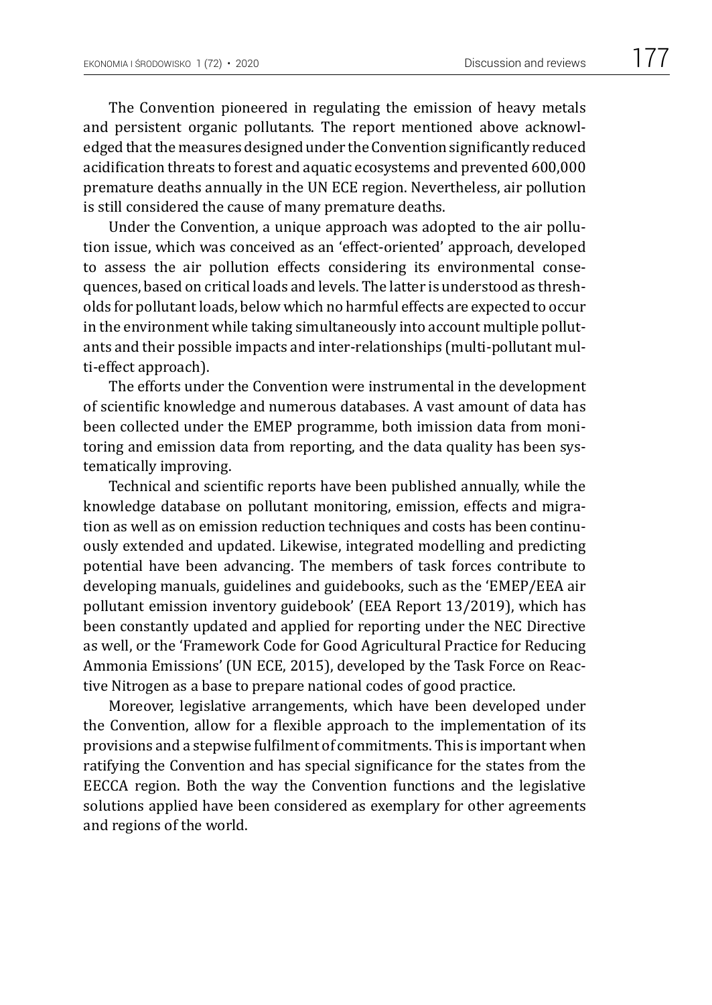The Convention pioneered in regulating the emission of heavy metals and persistent organic pollutants. The report mentioned above acknowledged that the measures designed under the Convention significantly reduced acidification threats to forest and aquatic ecosystems and prevented 600,000 premature deaths annually in the UN ECE region. Nevertheless, air pollution is still considered the cause of many premature deaths.

Under the Convention, a unique approach was adopted to the air pollution issue, which was conceived as an 'effect-oriented' approach, developed to assess the air pollution effects considering its environmental consequences, based on critical loads and levels. The latter is understood as thresholds for pollutant loads, below which no harmful effects are expected to occur in the environment while taking simultaneously into account multiple pollutants and their possible impacts and inter-relationships (multi-pollutant multi-effect approach).

The efforts under the Convention were instrumental in the development of scientific knowledge and numerous databases. A vast amount of data has been collected under the EMEP programme, both imission data from monitoring and emission data from reporting, and the data quality has been systematically improving.

Technical and scientific reports have been published annually, while the knowledge database on pollutant monitoring, emission, effects and migration as well as on emission reduction techniques and costs has been continuously extended and updated. Likewise, integrated modelling and predicting potential have been advancing. The members of task forces contribute to developing manuals, guidelines and guidebooks, such as the 'EMEP/EEA air pollutant emission inventory guidebook' (EEA Report 13/2019), which has been constantly updated and applied for reporting under the NEC Directive as well, or the 'Framework Code for Good Agricultural Practice for Reducing Ammonia Emissions' (UN ECE, 2015), developed by the Task Force on Reactive Nitrogen as a base to prepare national codes of good practice.

Moreover, legislative arrangements, which have been developed under the Convention, allow for a flexible approach to the implementation of its provisions and a stepwise fulfilment of commitments. This is important when ratifying the Convention and has special significance for the states from the EECCA region. Both the way the Convention functions and the legislative solutions applied have been considered as exemplary for other agreements and regions of the world.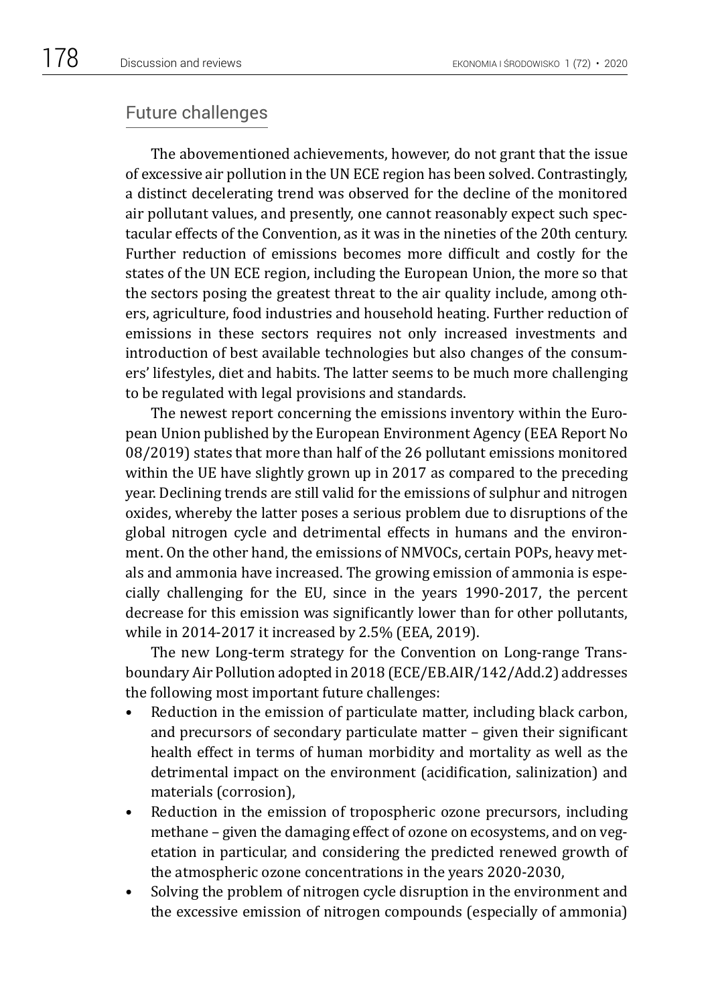#### Future challenges

The abovementioned achievements, however, do not grant that the issue of excessive air pollution in the UN ECE region has been solved. Contrastingly, a distinct decelerating trend was observed for the decline of the monitored air pollutant values, and presently, one cannot reasonably expect such spectacular effects of the Convention, as it was in the nineties of the 20th century. Further reduction of emissions becomes more difficult and costly for the states of the UN ECE region, including the European Union, the more so that the sectors posing the greatest threat to the air quality include, among others, agriculture, food industries and household heating. Further reduction of emissions in these sectors requires not only increased investments and introduction of best available technologies but also changes of the consumers' lifestyles, diet and habits. The latter seems to be much more challenging to be regulated with legal provisions and standards.

The newest report concerning the emissions inventory within the European Union published by the European Environment Agency (EEA Report No 08/2019) states that more than half of the 26 pollutant emissions monitored within the UE have slightly grown up in 2017 as compared to the preceding year. Declining trends are still valid for the emissions of sulphur and nitrogen oxides, whereby the latter poses a serious problem due to disruptions of the global nitrogen cycle and detrimental effects in humans and the environment. On the other hand, the emissions of NMVOCs, certain POPs, heavy metals and ammonia have increased. The growing emission of ammonia is especially challenging for the EU, since in the years 1990-2017, the percent decrease for this emission was significantly lower than for other pollutants, while in 2014-2017 it increased by 2.5% (EEA, 2019).

The new Long-term strategy for the Convention on Long-range Transboundary Air Pollution adopted in 2018 (ECE/EB.AIR/142/Add.2) addresses the following most important future challenges:

- Reduction in the emission of particulate matter, including black carbon, and precursors of secondary particulate matter – given their significant health effect in terms of human morbidity and mortality as well as the detrimental impact on the environment (acidification, salinization) and materials (corrosion),
- Reduction in the emission of tropospheric ozone precursors, including methane – given the damaging effect of ozone on ecosystems, and on vegetation in particular, and considering the predicted renewed growth of the atmospheric ozone concentrations in the years 2020-2030,
- Solving the problem of nitrogen cycle disruption in the environment and the excessive emission of nitrogen compounds (especially of ammonia)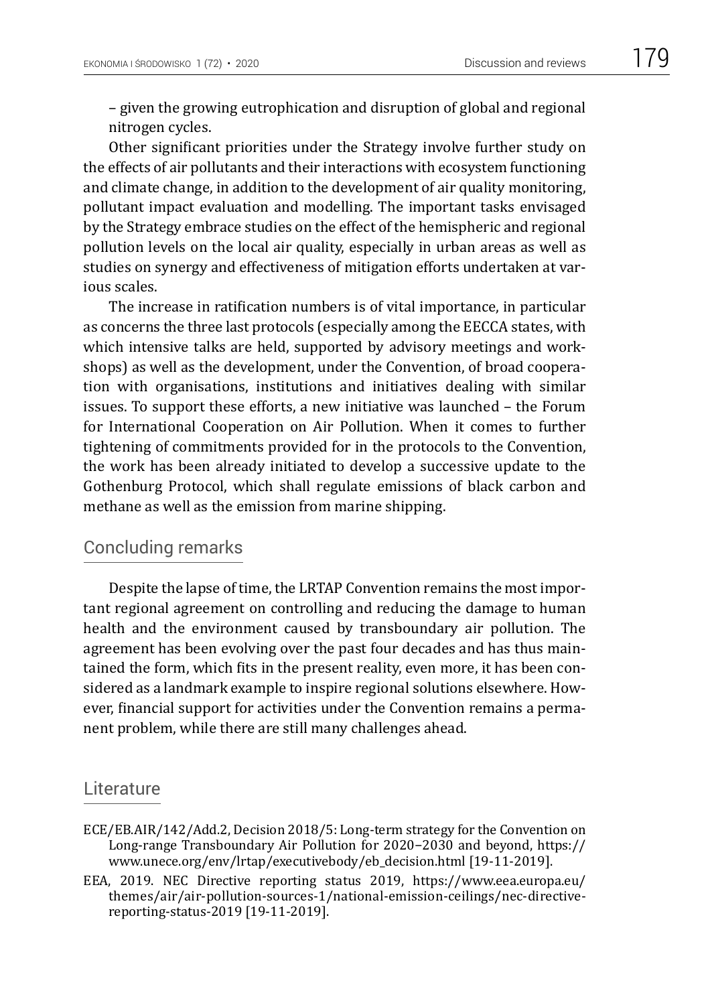– given the growing eutrophication and disruption of global and regional nitrogen cycles.

Other significant priorities under the Strategy involve further study on the effects of air pollutants and their interactions with ecosystem functioning and climate change, in addition to the development of air quality monitoring, pollutant impact evaluation and modelling. The important tasks envisaged by the Strategy embrace studies on the effect of the hemispheric and regional pollution levels on the local air quality, especially in urban areas as well as studies on synergy and effectiveness of mitigation efforts undertaken at various scales.

The increase in ratification numbers is of vital importance, in particular as concerns the three last protocols (especially among the EECCA states, with which intensive talks are held, supported by advisory meetings and workshops) as well as the development, under the Convention, of broad cooperation with organisations, institutions and initiatives dealing with similar issues. To support these efforts, a new initiative was launched – the Forum for International Cooperation on Air Pollution. When it comes to further tightening of commitments provided for in the protocols to the Convention, the work has been already initiated to develop a successive update to the Gothenburg Protocol, which shall regulate emissions of black carbon and methane as well as the emission from marine shipping.

#### Concluding remarks

Despite the lapse of time, the LRTAP Convention remains the most important regional agreement on controlling and reducing the damage to human health and the environment caused by transboundary air pollution. The agreement has been evolving over the past four decades and has thus maintained the form, which fits in the present reality, even more, it has been considered as a landmark example to inspire regional solutions elsewhere. However, financial support for activities under the Convention remains a permanent problem, while there are still many challenges ahead.

#### Literature

- ECE/EB.AIR/142/Add.2, Decision 2018/5: Long-term strategy for the Convention on Long-range Transboundary Air Pollution for 2020−2030 and beyond, https:// www.unece.org/env/lrtap/executivebody/eb\_decision.html [19-11-2019].
- EEA, 2019. NEC Directive reporting status 2019, [https://www.eea.europa.eu/](https://www.eea.europa.eu/themes/air/air-pollution-sources-1/national-emission-ceilings/nec-directive-reporting-status-2019) [themes/air/air-pollution-sources-1/national-emission-ceilings/nec-directive](https://www.eea.europa.eu/themes/air/air-pollution-sources-1/national-emission-ceilings/nec-directive-reporting-status-2019)[reporting-status-2019](https://www.eea.europa.eu/themes/air/air-pollution-sources-1/national-emission-ceilings/nec-directive-reporting-status-2019) [19-11-2019].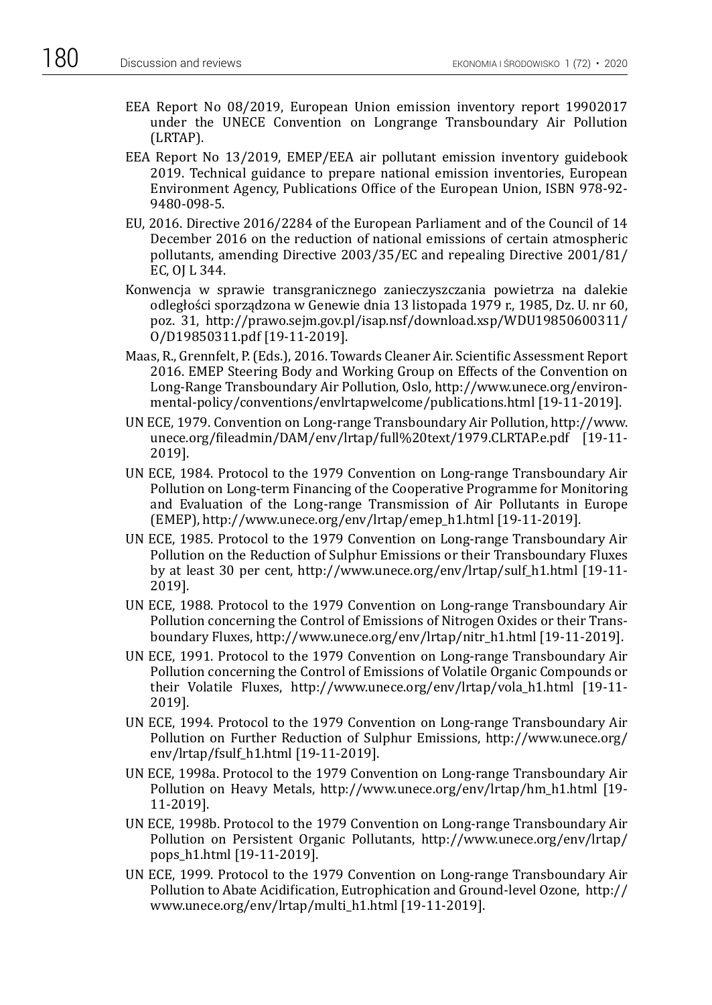- EEA Report No 08/2019, European Union emission inventory report 19902017 under the UNECE Convention on Longrange Transboundary Air Pollution (LRTAP).
- EEA Report No 13/2019, EMEP/EEA air pollutant emission inventory guidebook 2019. Technical guidance to prepare national emission inventories, European Environment Agency, Publications Office of the European Union, ISBN 978-92- 9480-098-5.
- EU, 2016. Directive 2016/2284 of the European Parliament and of the Council of 14 December 2016 on the reduction of national emissions of certain atmospheric pollutants, amending Directive 2003/35/EC and repealing Directive 2001/81/ EC, OJ L 344.
- Konwencja w sprawie transgranicznego zanieczyszczania powietrza na dalekie odległości sporządzona w Genewie dnia 13 listopada 1979 r., 1985, Dz. U. nr 60, poz. 31, [http://prawo.sejm.gov.pl/isap.nsf/download.xsp/WDU19850600311/](http://prawo.sejm.gov.pl/isap.nsf/download.xsp/WDU19850600311/O/D19850311.pdf) [O/D19850311.pdf](http://prawo.sejm.gov.pl/isap.nsf/download.xsp/WDU19850600311/O/D19850311.pdf) [19-11-2019].
- Maas, R., Grennfelt, P. (Eds.), 2016. Towards Cleaner Air. Scientific Assessment Report 2016. EMEP Steering Body and Working Group on Effects of the Convention on Long-Range Transboundary Air Pollution, Oslo, [http://www.unece.org/environ](http://www.unece.org/environmental-policy/conventions/envlrtapwelcome/publications.html)[mental-policy/conventions/envlrtapwelcome/publications.html](http://www.unece.org/environmental-policy/conventions/envlrtapwelcome/publications.html) [19-11-2019].
- UN ECE, 1979. Convention on Long-range Transboundary Air Pollution, [http://www.](http://www.unece.org/fileadmin/DAM/env/lrtap/full%20text/1979.CLRTAP.e.pdf) [unece.org/fileadmin/DAM/env/lrtap/full%20text/1979.CLRTAP.e.pdf](http://www.unece.org/fileadmin/DAM/env/lrtap/full%20text/1979.CLRTAP.e.pdf) [19-11- 2019].
- UN ECE, 1984. Protocol to the 1979 Convention on Long-range Transboundary Air Pollution on Long-term Financing of the Cooperative Programme for Monitoring and Evaluation of the Long-range Transmission of Air Pollutants in Europe (EMEP), [http://www.unece.org/env/lrtap/emep\\_h1.html](http://www.unece.org/env/lrtap/emep_h1.html) [19-11-2019].
- UN ECE, 1985. Protocol to the 1979 Convention on Long-range Transboundary Air Pollution on the Reduction of Sulphur Emissions or their Transboundary Fluxes by at least 30 per cent, [http://www.unece.org/env/lrtap/sulf\\_h1.html](http://www.unece.org/env/lrtap/sulf_h1.html) [19-11- 2019].
- UN ECE, 1988. Protocol to the 1979 Convention on Long-range Transboundary Air Pollution concerning the Control of Emissions of Nitrogen Oxides or their Transboundary Fluxes, [http://www.unece.org/env/lrtap/nitr\\_h1.html](http://www.unece.org/env/lrtap/nitr_h1.html) [19-11-2019].
- UN ECE, 1991. Protocol to the 1979 Convention on Long-range Transboundary Air Pollution concerning the Control of Emissions of Volatile Organic Compounds or their Volatile Fluxes, [http://www.unece.org/env/lrtap/vola\\_h1.html](http://www.unece.org/env/lrtap/vola_h1.html) [19-11- 2019].
- UN ECE, 1994. Protocol to the 1979 Convention on Long-range Transboundary Air Pollution on Further Reduction of Sulphur Emissions, [http://www.unece.org/](http://www.unece.org/env/lrtap/fsulf_h1.html) [env/lrtap/fsulf\\_h1.html](http://www.unece.org/env/lrtap/fsulf_h1.html) [19-11-2019].
- UN ECE, 1998a. Protocol to the 1979 Convention on Long-range Transboundary Air Pollution on Heavy Metals, [http://www.unece.org/env/lrtap/hm\\_h1.html](http://www.unece.org/env/lrtap/hm_h1.html) [19- 11-2019].
- UN ECE, 1998b. Protocol to the 1979 Convention on Long-range Transboundary Air Pollution on Persistent Organic Pollutants, [http://www.unece.org/env/lrtap/](http://www.unece.org/env/lrtap/pops_h1.html) [pops\\_h1.html](http://www.unece.org/env/lrtap/pops_h1.html) [19-11-2019].
- UN ECE, 1999. Protocol to the 1979 Convention on Long-range Transboundary Air Pollution to Abate Acidification, Eutrophication and Ground-level Ozone, [http://](http://www.unece.org/env/lrtap/multi_h1.html) [www.unece.org/env/lrtap/multi\\_h1.html](http://www.unece.org/env/lrtap/multi_h1.html) [19-11-2019].